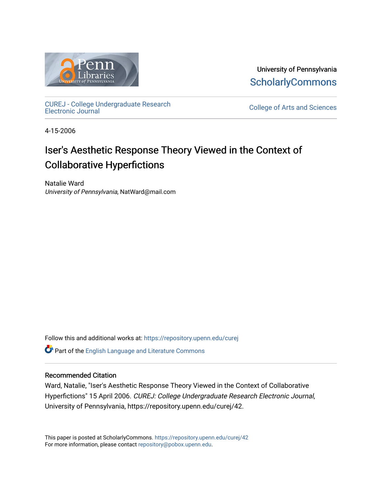

University of Pennsylvania **ScholarlyCommons** 

[CUREJ - College Undergraduate Research](https://repository.upenn.edu/curej) 

College of Arts and Sciences

4-15-2006

# Iser's Aesthetic Response Theory Viewed in the Context of Collaborative Hyperfictions

Natalie Ward University of Pennsylvania, NatWard@mail.com

Follow this and additional works at: [https://repository.upenn.edu/curej](https://repository.upenn.edu/curej?utm_source=repository.upenn.edu%2Fcurej%2F42&utm_medium=PDF&utm_campaign=PDFCoverPages) Part of the [English Language and Literature Commons](http://network.bepress.com/hgg/discipline/455?utm_source=repository.upenn.edu%2Fcurej%2F42&utm_medium=PDF&utm_campaign=PDFCoverPages)

# Recommended Citation

Ward, Natalie, "Iser's Aesthetic Response Theory Viewed in the Context of Collaborative Hyperfictions" 15 April 2006. CUREJ: College Undergraduate Research Electronic Journal, University of Pennsylvania, https://repository.upenn.edu/curej/42.

This paper is posted at ScholarlyCommons.<https://repository.upenn.edu/curej/42> For more information, please contact [repository@pobox.upenn.edu.](mailto:repository@pobox.upenn.edu)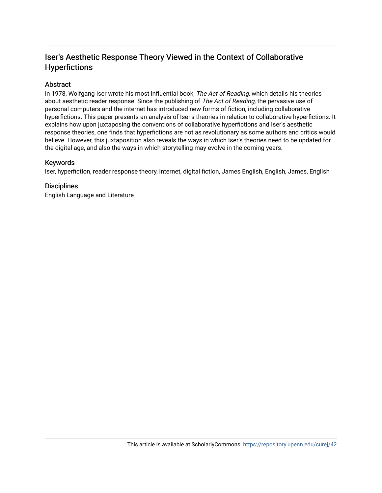# Iser's Aesthetic Response Theory Viewed in the Context of Collaborative Hyperfictions

# Abstract

In 1978, Wolfgang Iser wrote his most influential book, The Act of Reading, which details his theories about aesthetic reader response. Since the publishing of The Act of Reading, the pervasive use of personal computers and the internet has introduced new forms of fiction, including collaborative hyperfictions. This paper presents an analysis of Iser's theories in relation to collaborative hyperfictions. It explains how upon juxtaposing the conventions of collaborative hyperfictions and Iser's aesthetic response theories, one finds that hyperfictions are not as revolutionary as some authors and critics would believe. However, this juxtaposition also reveals the ways in which Iser's theories need to be updated for the digital age, and also the ways in which storytelling may evolve in the coming years.

# Keywords

Iser, hyperfiction, reader response theory, internet, digital fiction, James English, English, James, English

# **Disciplines**

English Language and Literature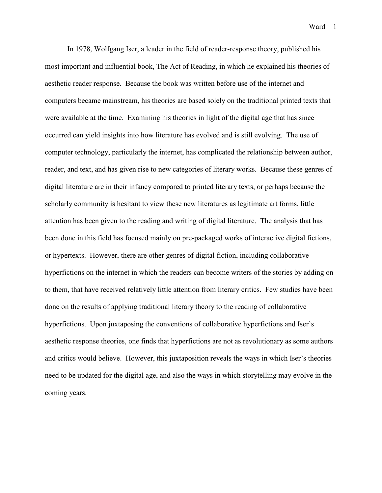In 1978, Wolfgang Iser, a leader in the field of reader-response theory, published his most important and influential book, The Act of Reading, in which he explained his theories of aesthetic reader response. Because the book was written before use of the internet and computers became mainstream, his theories are based solely on the traditional printed texts that were available at the time. Examining his theories in light of the digital age that has since occurred can yield insights into how literature has evolved and is still evolving. The use of computer technology, particularly the internet, has complicated the relationship between author, reader, and text, and has given rise to new categories of literary works. Because these genres of digital literature are in their infancy compared to printed literary texts, or perhaps because the scholarly community is hesitant to view these new literatures as legitimate art forms, little attention has been given to the reading and writing of digital literature. The analysis that has been done in this field has focused mainly on pre-packaged works of interactive digital fictions, or hypertexts. However, there are other genres of digital fiction, including collaborative hyperfictions on the internet in which the readers can become writers of the stories by adding on to them, that have received relatively little attention from literary critics. Few studies have been done on the results of applying traditional literary theory to the reading of collaborative hyperfictions. Upon juxtaposing the conventions of collaborative hyperfictions and Iser's aesthetic response theories, one finds that hyperfictions are not as revolutionary as some authors and critics would believe. However, this juxtaposition reveals the ways in which Iser's theories need to be updated for the digital age, and also the ways in which storytelling may evolve in the coming years.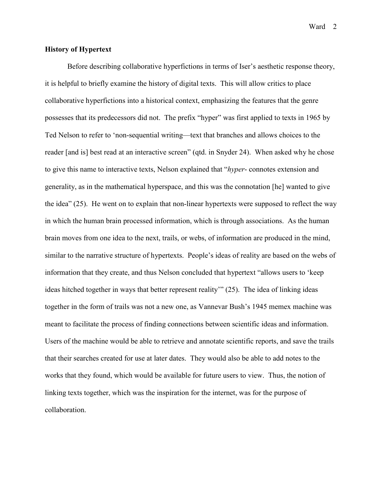# **History of Hypertext**

Before describing collaborative hyperfictions in terms of Iser's aesthetic response theory, it is helpful to briefly examine the history of digital texts. This will allow critics to place collaborative hyperfictions into a historical context, emphasizing the features that the genre possesses that its predecessors did not. The prefix "hyper" was first applied to texts in 1965 by Ted Nelson to refer to 'non-sequential writing—text that branches and allows choices to the reader [and is] best read at an interactive screen" (qtd. in Snyder 24). When asked why he chose to give this name to interactive texts, Nelson explained that "*hyper*- connotes extension and generality, as in the mathematical hyperspace, and this was the connotation [he] wanted to give the idea" (25). He went on to explain that non-linear hypertexts were supposed to reflect the way in which the human brain processed information, which is through associations. As the human brain moves from one idea to the next, trails, or webs, of information are produced in the mind, similar to the narrative structure of hypertexts. People's ideas of reality are based on the webs of information that they create, and thus Nelson concluded that hypertext "allows users to 'keep ideas hitched together in ways that better represent reality'" (25). The idea of linking ideas together in the form of trails was not a new one, as Vannevar Bush's 1945 memex machine was meant to facilitate the process of finding connections between scientific ideas and information. Users of the machine would be able to retrieve and annotate scientific reports, and save the trails that their searches created for use at later dates. They would also be able to add notes to the works that they found, which would be available for future users to view. Thus, the notion of linking texts together, which was the inspiration for the internet, was for the purpose of collaboration.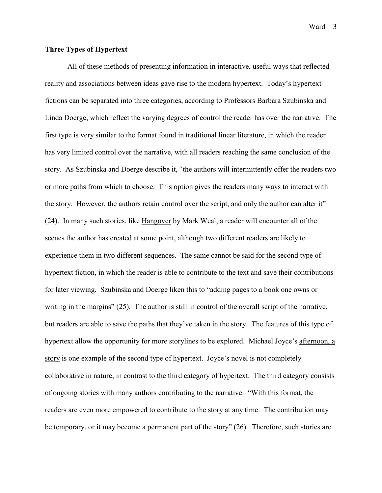# **Three Types of Hypertext**

All of these methods of presenting information in interactive, useful ways that reflected reality and associations between ideas gave rise to the modern hypertext. Today's hypertext fictions can be separated into three categories, according to Professors Barbara Szubinska and Linda Doerge, which reflect the varying degrees of control the reader has over the narrative. The first type is very similar to the format found in traditional linear literature, in which the reader has very limited control over the narrative, with all readers reaching the same conclusion of the story. As Szubinska and Doerge describe it, "the authors will intermittently offer the readers two or more paths from which to choose. This option gives the readers many ways to interact with the story. However, the authors retain control over the script, and only the author can alter it" (24). In many such stories, like Hangover by Mark Weal, a reader will encounter all of the scenes the author has created at some point, although two different readers are likely to experience them in two different sequences. The same cannot be said for the second type of hypertext fiction, in which the reader is able to contribute to the text and save their contributions for later viewing. Szubinska and Doerge liken this to "adding pages to a book one owns or writing in the margins" (25). The author is still in control of the overall script of the narrative, but readers are able to save the paths that they've taken in the story. The features of this type of hypertext allow the opportunity for more storylines to be explored. Michael Joyce's afternoon, a story is one example of the second type of hypertext. Joyce's novel is not completely collaborative in nature, in contrast to the third category of hypertext. The third category consists of ongoing stories with many authors contributing to the narrative. "With this format, the readers are even more empowered to contribute to the story at any time. The contribution may be temporary, or it may become a permanent part of the story" (26). Therefore, such stories are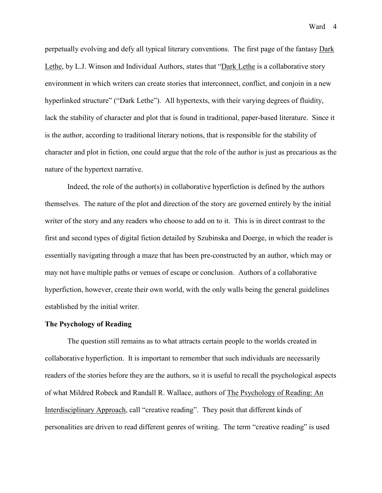perpetually evolving and defy all typical literary conventions. The first page of the fantasy Dark Lethe, by L.J. Winson and Individual Authors, states that "Dark Lethe is a collaborative story environment in which writers can create stories that interconnect, conflict, and conjoin in a new hyperlinked structure" ("Dark Lethe"). All hypertexts, with their varying degrees of fluidity, lack the stability of character and plot that is found in traditional, paper-based literature. Since it is the author, according to traditional literary notions, that is responsible for the stability of character and plot in fiction, one could argue that the role of the author is just as precarious as the nature of the hypertext narrative.

 Indeed, the role of the author(s) in collaborative hyperfiction is defined by the authors themselves. The nature of the plot and direction of the story are governed entirely by the initial writer of the story and any readers who choose to add on to it. This is in direct contrast to the first and second types of digital fiction detailed by Szubinska and Doerge, in which the reader is essentially navigating through a maze that has been pre-constructed by an author, which may or may not have multiple paths or venues of escape or conclusion. Authors of a collaborative hyperfiction, however, create their own world, with the only walls being the general guidelines established by the initial writer.

#### **The Psychology of Reading**

The question still remains as to what attracts certain people to the worlds created in collaborative hyperfiction. It is important to remember that such individuals are necessarily readers of the stories before they are the authors, so it is useful to recall the psychological aspects of what Mildred Robeck and Randall R. Wallace, authors of The Psychology of Reading: An Interdisciplinary Approach, call "creative reading". They posit that different kinds of personalities are driven to read different genres of writing. The term "creative reading" is used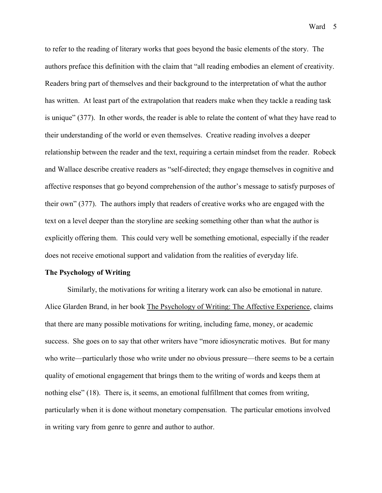to refer to the reading of literary works that goes beyond the basic elements of the story. The authors preface this definition with the claim that "all reading embodies an element of creativity. Readers bring part of themselves and their background to the interpretation of what the author has written. At least part of the extrapolation that readers make when they tackle a reading task is unique" (377). In other words, the reader is able to relate the content of what they have read to their understanding of the world or even themselves. Creative reading involves a deeper relationship between the reader and the text, requiring a certain mindset from the reader. Robeck and Wallace describe creative readers as "self-directed; they engage themselves in cognitive and affective responses that go beyond comprehension of the author's message to satisfy purposes of their own" (377). The authors imply that readers of creative works who are engaged with the text on a level deeper than the storyline are seeking something other than what the author is explicitly offering them. This could very well be something emotional, especially if the reader does not receive emotional support and validation from the realities of everyday life.

#### **The Psychology of Writing**

Similarly, the motivations for writing a literary work can also be emotional in nature. Alice Glarden Brand, in her book The Psychology of Writing: The Affective Experience, claims that there are many possible motivations for writing, including fame, money, or academic success. She goes on to say that other writers have "more idiosyncratic motives. But for many who write—particularly those who write under no obvious pressure—there seems to be a certain quality of emotional engagement that brings them to the writing of words and keeps them at nothing else" (18). There is, it seems, an emotional fulfillment that comes from writing, particularly when it is done without monetary compensation. The particular emotions involved in writing vary from genre to genre and author to author.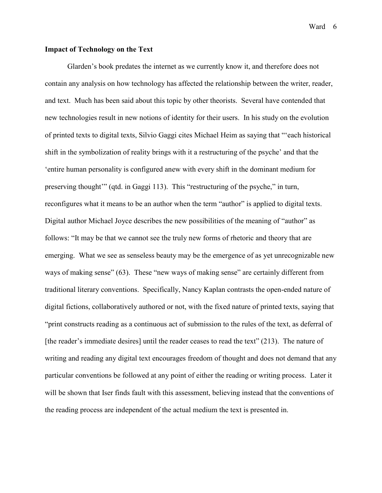# **Impact of Technology on the Text**

 Glarden's book predates the internet as we currently know it, and therefore does not contain any analysis on how technology has affected the relationship between the writer, reader, and text. Much has been said about this topic by other theorists. Several have contended that new technologies result in new notions of identity for their users. In his study on the evolution of printed texts to digital texts, Silvio Gaggi cites Michael Heim as saying that "'each historical shift in the symbolization of reality brings with it a restructuring of the psyche' and that the 'entire human personality is configured anew with every shift in the dominant medium for preserving thought'" (qtd. in Gaggi 113). This "restructuring of the psyche," in turn, reconfigures what it means to be an author when the term "author" is applied to digital texts. Digital author Michael Joyce describes the new possibilities of the meaning of "author" as follows: "It may be that we cannot see the truly new forms of rhetoric and theory that are emerging. What we see as senseless beauty may be the emergence of as yet unrecognizable new ways of making sense" (63). These "new ways of making sense" are certainly different from traditional literary conventions. Specifically, Nancy Kaplan contrasts the open-ended nature of digital fictions, collaboratively authored or not, with the fixed nature of printed texts, saying that "print constructs reading as a continuous act of submission to the rules of the text, as deferral of [the reader's immediate desires] until the reader ceases to read the text" (213). The nature of writing and reading any digital text encourages freedom of thought and does not demand that any particular conventions be followed at any point of either the reading or writing process. Later it will be shown that Iser finds fault with this assessment, believing instead that the conventions of the reading process are independent of the actual medium the text is presented in.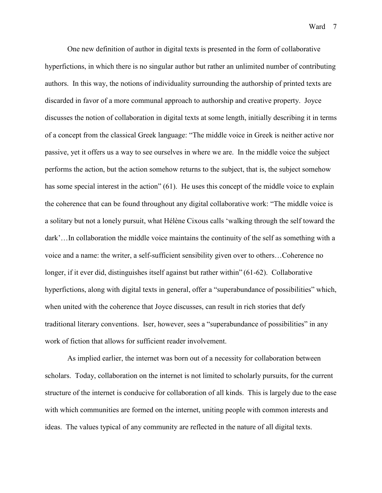One new definition of author in digital texts is presented in the form of collaborative hyperfictions, in which there is no singular author but rather an unlimited number of contributing authors. In this way, the notions of individuality surrounding the authorship of printed texts are discarded in favor of a more communal approach to authorship and creative property. Joyce discusses the notion of collaboration in digital texts at some length, initially describing it in terms of a concept from the classical Greek language: "The middle voice in Greek is neither active nor passive, yet it offers us a way to see ourselves in where we are. In the middle voice the subject performs the action, but the action somehow returns to the subject, that is, the subject somehow has some special interest in the action" (61). He uses this concept of the middle voice to explain the coherence that can be found throughout any digital collaborative work: "The middle voice is a solitary but not a lonely pursuit, what Hélène Cixous calls 'walking through the self toward the dark'…In collaboration the middle voice maintains the continuity of the self as something with a voice and a name: the writer, a self-sufficient sensibility given over to others…Coherence no longer, if it ever did, distinguishes itself against but rather within" (61-62). Collaborative hyperfictions, along with digital texts in general, offer a "superabundance of possibilities" which, when united with the coherence that Joyce discusses, can result in rich stories that defy traditional literary conventions. Iser, however, sees a "superabundance of possibilities" in any work of fiction that allows for sufficient reader involvement.

 As implied earlier, the internet was born out of a necessity for collaboration between scholars. Today, collaboration on the internet is not limited to scholarly pursuits, for the current structure of the internet is conducive for collaboration of all kinds. This is largely due to the ease with which communities are formed on the internet, uniting people with common interests and ideas. The values typical of any community are reflected in the nature of all digital texts.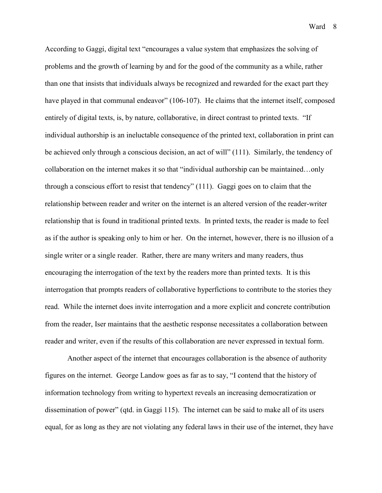According to Gaggi, digital text "encourages a value system that emphasizes the solving of problems and the growth of learning by and for the good of the community as a while, rather than one that insists that individuals always be recognized and rewarded for the exact part they have played in that communal endeavor" (106-107). He claims that the internet itself, composed entirely of digital texts, is, by nature, collaborative, in direct contrast to printed texts. "If individual authorship is an ineluctable consequence of the printed text, collaboration in print can be achieved only through a conscious decision, an act of will" (111). Similarly, the tendency of collaboration on the internet makes it so that "individual authorship can be maintained…only through a conscious effort to resist that tendency" (111). Gaggi goes on to claim that the relationship between reader and writer on the internet is an altered version of the reader-writer relationship that is found in traditional printed texts. In printed texts, the reader is made to feel as if the author is speaking only to him or her. On the internet, however, there is no illusion of a single writer or a single reader. Rather, there are many writers and many readers, thus encouraging the interrogation of the text by the readers more than printed texts. It is this interrogation that prompts readers of collaborative hyperfictions to contribute to the stories they read. While the internet does invite interrogation and a more explicit and concrete contribution from the reader, Iser maintains that the aesthetic response necessitates a collaboration between reader and writer, even if the results of this collaboration are never expressed in textual form.

 Another aspect of the internet that encourages collaboration is the absence of authority figures on the internet. George Landow goes as far as to say, "I contend that the history of information technology from writing to hypertext reveals an increasing democratization or dissemination of power" (qtd. in Gaggi 115). The internet can be said to make all of its users equal, for as long as they are not violating any federal laws in their use of the internet, they have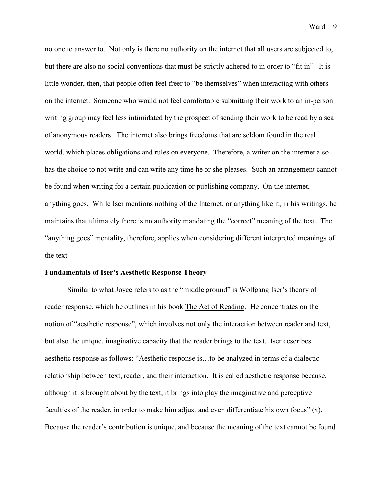no one to answer to. Not only is there no authority on the internet that all users are subjected to, but there are also no social conventions that must be strictly adhered to in order to "fit in". It is little wonder, then, that people often feel freer to "be themselves" when interacting with others on the internet. Someone who would not feel comfortable submitting their work to an in-person writing group may feel less intimidated by the prospect of sending their work to be read by a sea of anonymous readers. The internet also brings freedoms that are seldom found in the real world, which places obligations and rules on everyone. Therefore, a writer on the internet also has the choice to not write and can write any time he or she pleases. Such an arrangement cannot be found when writing for a certain publication or publishing company. On the internet, anything goes. While Iser mentions nothing of the Internet, or anything like it, in his writings, he maintains that ultimately there is no authority mandating the "correct" meaning of the text. The "anything goes" mentality, therefore, applies when considering different interpreted meanings of the text.

#### **Fundamentals of Iser's Aesthetic Response Theory**

Similar to what Joyce refers to as the "middle ground" is Wolfgang Iser's theory of reader response, which he outlines in his book The Act of Reading. He concentrates on the notion of "aesthetic response", which involves not only the interaction between reader and text, but also the unique, imaginative capacity that the reader brings to the text. Iser describes aesthetic response as follows: "Aesthetic response is…to be analyzed in terms of a dialectic relationship between text, reader, and their interaction. It is called aesthetic response because, although it is brought about by the text, it brings into play the imaginative and perceptive faculties of the reader, in order to make him adjust and even differentiate his own focus" (x). Because the reader's contribution is unique, and because the meaning of the text cannot be found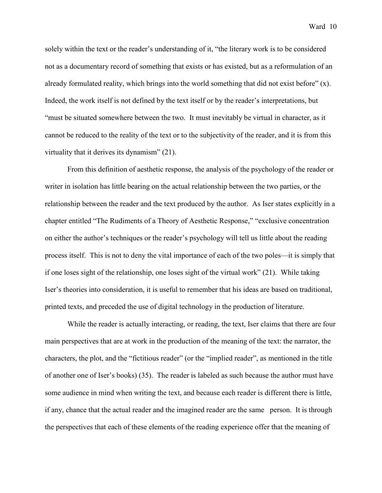solely within the text or the reader's understanding of it, "the literary work is to be considered not as a documentary record of something that exists or has existed, but as a reformulation of an already formulated reality, which brings into the world something that did not exist before" (x). Indeed, the work itself is not defined by the text itself or by the reader's interpretations, but "must be situated somewhere between the two. It must inevitably be virtual in character, as it cannot be reduced to the reality of the text or to the subjectivity of the reader, and it is from this virtuality that it derives its dynamism" (21).

 From this definition of aesthetic response, the analysis of the psychology of the reader or writer in isolation has little bearing on the actual relationship between the two parties, or the relationship between the reader and the text produced by the author. As Iser states explicitly in a chapter entitled "The Rudiments of a Theory of Aesthetic Response," "exclusive concentration on either the author's techniques or the reader's psychology will tell us little about the reading process itself. This is not to deny the vital importance of each of the two poles—it is simply that if one loses sight of the relationship, one loses sight of the virtual work" (21). While taking Iser's theories into consideration, it is useful to remember that his ideas are based on traditional, printed texts, and preceded the use of digital technology in the production of literature.

 While the reader is actually interacting, or reading, the text, Iser claims that there are four main perspectives that are at work in the production of the meaning of the text: the narrator, the characters, the plot, and the "fictitious reader" (or the "implied reader", as mentioned in the title of another one of Iser's books) (35). The reader is labeled as such because the author must have some audience in mind when writing the text, and because each reader is different there is little, if any, chance that the actual reader and the imagined reader are the same person. It is through the perspectives that each of these elements of the reading experience offer that the meaning of

Ward 10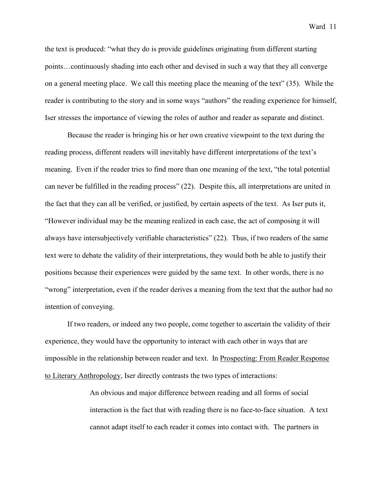the text is produced: "what they do is provide guidelines originating from different starting points…continuously shading into each other and devised in such a way that they all converge on a general meeting place. We call this meeting place the meaning of the text" (35). While the reader is contributing to the story and in some ways "authors" the reading experience for himself, Iser stresses the importance of viewing the roles of author and reader as separate and distinct.

 Because the reader is bringing his or her own creative viewpoint to the text during the reading process, different readers will inevitably have different interpretations of the text's meaning. Even if the reader tries to find more than one meaning of the text, "the total potential can never be fulfilled in the reading process" (22). Despite this, all interpretations are united in the fact that they can all be verified, or justified, by certain aspects of the text. As Iser puts it, "However individual may be the meaning realized in each case, the act of composing it will always have intersubjectively verifiable characteristics" (22). Thus, if two readers of the same text were to debate the validity of their interpretations, they would both be able to justify their positions because their experiences were guided by the same text. In other words, there is no "wrong" interpretation, even if the reader derives a meaning from the text that the author had no intention of conveying.

 If two readers, or indeed any two people, come together to ascertain the validity of their experience, they would have the opportunity to interact with each other in ways that are impossible in the relationship between reader and text. In Prospecting: From Reader Response to Literary Anthropology, Iser directly contrasts the two types of interactions:

> An obvious and major difference between reading and all forms of social interaction is the fact that with reading there is no face-to-face situation. A text cannot adapt itself to each reader it comes into contact with. The partners in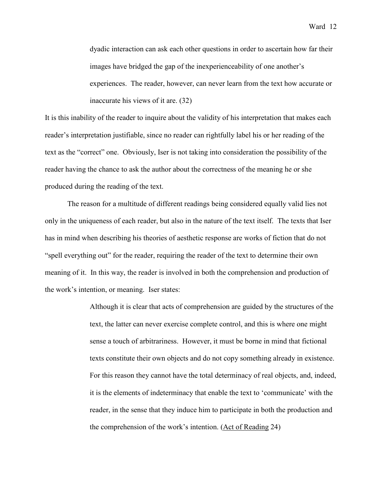dyadic interaction can ask each other questions in order to ascertain how far their images have bridged the gap of the inexperienceability of one another's experiences. The reader, however, can never learn from the text how accurate or inaccurate his views of it are. (32)

It is this inability of the reader to inquire about the validity of his interpretation that makes each reader's interpretation justifiable, since no reader can rightfully label his or her reading of the text as the "correct" one. Obviously, Iser is not taking into consideration the possibility of the reader having the chance to ask the author about the correctness of the meaning he or she produced during the reading of the text.

 The reason for a multitude of different readings being considered equally valid lies not only in the uniqueness of each reader, but also in the nature of the text itself. The texts that Iser has in mind when describing his theories of aesthetic response are works of fiction that do not "spell everything out" for the reader, requiring the reader of the text to determine their own meaning of it. In this way, the reader is involved in both the comprehension and production of the work's intention, or meaning. Iser states:

> Although it is clear that acts of comprehension are guided by the structures of the text, the latter can never exercise complete control, and this is where one might sense a touch of arbitrariness. However, it must be borne in mind that fictional texts constitute their own objects and do not copy something already in existence. For this reason they cannot have the total determinacy of real objects, and, indeed, it is the elements of indeterminacy that enable the text to 'communicate' with the reader, in the sense that they induce him to participate in both the production and the comprehension of the work's intention. (Act of Reading 24)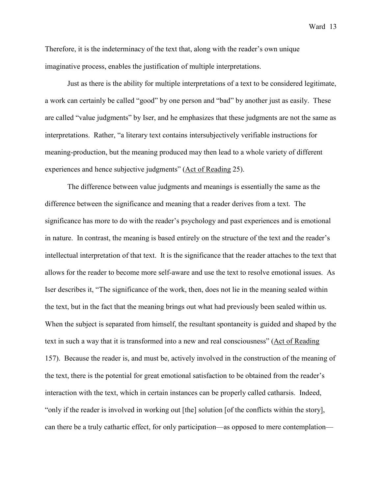Therefore, it is the indeterminacy of the text that, along with the reader's own unique imaginative process, enables the justification of multiple interpretations.

 Just as there is the ability for multiple interpretations of a text to be considered legitimate, a work can certainly be called "good" by one person and "bad" by another just as easily. These are called "value judgments" by Iser, and he emphasizes that these judgments are not the same as interpretations. Rather, "a literary text contains intersubjectively verifiable instructions for meaning-production, but the meaning produced may then lead to a whole variety of different experiences and hence subjective judgments" (Act of Reading 25).

The difference between value judgments and meanings is essentially the same as the difference between the significance and meaning that a reader derives from a text. The significance has more to do with the reader's psychology and past experiences and is emotional in nature. In contrast, the meaning is based entirely on the structure of the text and the reader's intellectual interpretation of that text. It is the significance that the reader attaches to the text that allows for the reader to become more self-aware and use the text to resolve emotional issues. As Iser describes it, "The significance of the work, then, does not lie in the meaning sealed within the text, but in the fact that the meaning brings out what had previously been sealed within us. When the subject is separated from himself, the resultant spontaneity is guided and shaped by the text in such a way that it is transformed into a new and real consciousness" (Act of Reading 157). Because the reader is, and must be, actively involved in the construction of the meaning of the text, there is the potential for great emotional satisfaction to be obtained from the reader's interaction with the text, which in certain instances can be properly called catharsis. Indeed, "only if the reader is involved in working out [the] solution [of the conflicts within the story], can there be a truly cathartic effect, for only participation—as opposed to mere contemplation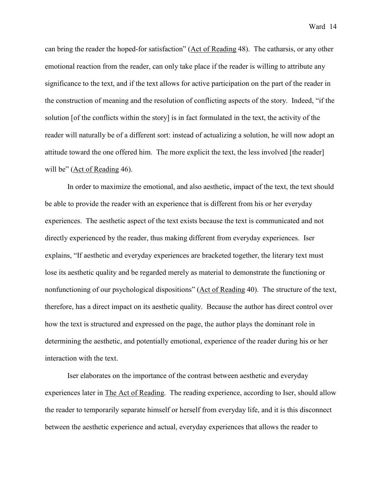can bring the reader the hoped-for satisfaction" (Act of Reading 48). The catharsis, or any other emotional reaction from the reader, can only take place if the reader is willing to attribute any significance to the text, and if the text allows for active participation on the part of the reader in the construction of meaning and the resolution of conflicting aspects of the story. Indeed, "if the solution [of the conflicts within the story] is in fact formulated in the text, the activity of the reader will naturally be of a different sort: instead of actualizing a solution, he will now adopt an attitude toward the one offered him. The more explicit the text, the less involved [the reader] will be" (Act of Reading 46).

 In order to maximize the emotional, and also aesthetic, impact of the text, the text should be able to provide the reader with an experience that is different from his or her everyday experiences. The aesthetic aspect of the text exists because the text is communicated and not directly experienced by the reader, thus making different from everyday experiences. Iser explains, "If aesthetic and everyday experiences are bracketed together, the literary text must lose its aesthetic quality and be regarded merely as material to demonstrate the functioning or nonfunctioning of our psychological dispositions" (Act of Reading 40). The structure of the text, therefore, has a direct impact on its aesthetic quality. Because the author has direct control over how the text is structured and expressed on the page, the author plays the dominant role in determining the aesthetic, and potentially emotional, experience of the reader during his or her interaction with the text.

 Iser elaborates on the importance of the contrast between aesthetic and everyday experiences later in The Act of Reading. The reading experience, according to Iser, should allow the reader to temporarily separate himself or herself from everyday life, and it is this disconnect between the aesthetic experience and actual, everyday experiences that allows the reader to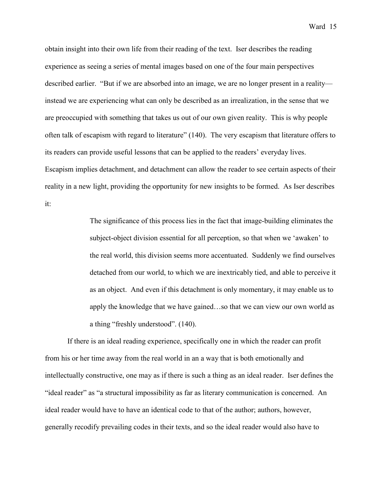obtain insight into their own life from their reading of the text. Iser describes the reading experience as seeing a series of mental images based on one of the four main perspectives described earlier. "But if we are absorbed into an image, we are no longer present in a reality instead we are experiencing what can only be described as an irrealization, in the sense that we are preoccupied with something that takes us out of our own given reality. This is why people often talk of escapism with regard to literature" (140). The very escapism that literature offers to its readers can provide useful lessons that can be applied to the readers' everyday lives. Escapism implies detachment, and detachment can allow the reader to see certain aspects of their reality in a new light, providing the opportunity for new insights to be formed. As Iser describes it:

> The significance of this process lies in the fact that image-building eliminates the subject-object division essential for all perception, so that when we 'awaken' to the real world, this division seems more accentuated. Suddenly we find ourselves detached from our world, to which we are inextricably tied, and able to perceive it as an object. And even if this detachment is only momentary, it may enable us to apply the knowledge that we have gained…so that we can view our own world as a thing "freshly understood". (140).

 If there is an ideal reading experience, specifically one in which the reader can profit from his or her time away from the real world in an a way that is both emotionally and intellectually constructive, one may as if there is such a thing as an ideal reader. Iser defines the "ideal reader" as "a structural impossibility as far as literary communication is concerned. An ideal reader would have to have an identical code to that of the author; authors, however, generally recodify prevailing codes in their texts, and so the ideal reader would also have to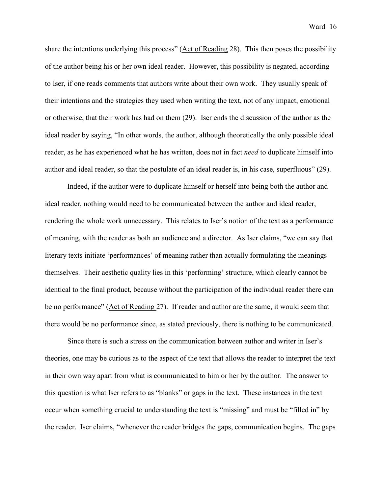share the intentions underlying this process" (Act of Reading 28). This then poses the possibility of the author being his or her own ideal reader. However, this possibility is negated, according to Iser, if one reads comments that authors write about their own work. They usually speak of their intentions and the strategies they used when writing the text, not of any impact, emotional or otherwise, that their work has had on them (29). Iser ends the discussion of the author as the ideal reader by saying, "In other words, the author, although theoretically the only possible ideal reader, as he has experienced what he has written, does not in fact *need* to duplicate himself into author and ideal reader, so that the postulate of an ideal reader is, in his case, superfluous" (29).

 Indeed, if the author were to duplicate himself or herself into being both the author and ideal reader, nothing would need to be communicated between the author and ideal reader, rendering the whole work unnecessary. This relates to Iser's notion of the text as a performance of meaning, with the reader as both an audience and a director. As Iser claims, "we can say that literary texts initiate 'performances' of meaning rather than actually formulating the meanings themselves. Their aesthetic quality lies in this 'performing' structure, which clearly cannot be identical to the final product, because without the participation of the individual reader there can be no performance" (Act of Reading 27). If reader and author are the same, it would seem that there would be no performance since, as stated previously, there is nothing to be communicated.

 Since there is such a stress on the communication between author and writer in Iser's theories, one may be curious as to the aspect of the text that allows the reader to interpret the text in their own way apart from what is communicated to him or her by the author. The answer to this question is what Iser refers to as "blanks" or gaps in the text. These instances in the text occur when something crucial to understanding the text is "missing" and must be "filled in" by the reader. Iser claims, "whenever the reader bridges the gaps, communication begins. The gaps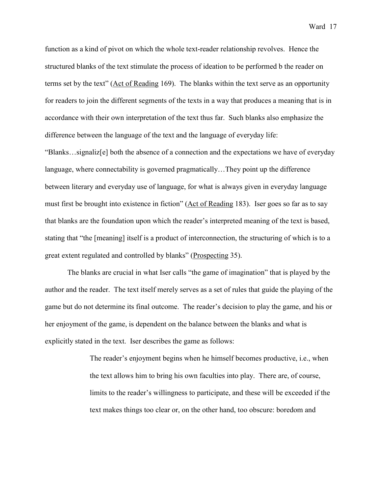function as a kind of pivot on which the whole text-reader relationship revolves. Hence the structured blanks of the text stimulate the process of ideation to be performed b the reader on terms set by the text" (Act of Reading 169). The blanks within the text serve as an opportunity for readers to join the different segments of the texts in a way that produces a meaning that is in accordance with their own interpretation of the text thus far. Such blanks also emphasize the difference between the language of the text and the language of everyday life:

"Blanks…signaliz[e] both the absence of a connection and the expectations we have of everyday language, where connectability is governed pragmatically…They point up the difference between literary and everyday use of language, for what is always given in everyday language must first be brought into existence in fiction" (Act of Reading 183). Iser goes so far as to say that blanks are the foundation upon which the reader's interpreted meaning of the text is based, stating that "the [meaning] itself is a product of interconnection, the structuring of which is to a great extent regulated and controlled by blanks" (Prospecting 35).

 The blanks are crucial in what Iser calls "the game of imagination" that is played by the author and the reader. The text itself merely serves as a set of rules that guide the playing of the game but do not determine its final outcome. The reader's decision to play the game, and his or her enjoyment of the game, is dependent on the balance between the blanks and what is explicitly stated in the text. Iser describes the game as follows:

> The reader's enjoyment begins when he himself becomes productive, i.e., when the text allows him to bring his own faculties into play. There are, of course, limits to the reader's willingness to participate, and these will be exceeded if the text makes things too clear or, on the other hand, too obscure: boredom and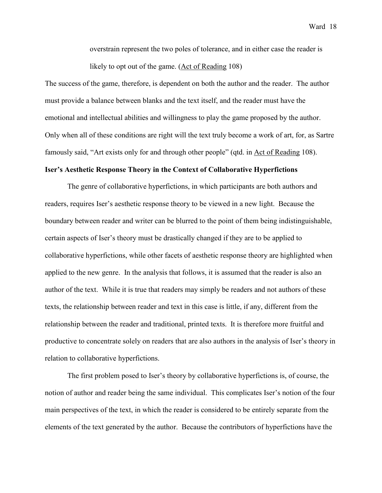overstrain represent the two poles of tolerance, and in either case the reader is likely to opt out of the game. (Act of Reading 108)

The success of the game, therefore, is dependent on both the author and the reader. The author must provide a balance between blanks and the text itself, and the reader must have the emotional and intellectual abilities and willingness to play the game proposed by the author. Only when all of these conditions are right will the text truly become a work of art, for, as Sartre famously said, "Art exists only for and through other people" (qtd. in Act of Reading 108).

#### **Iser's Aesthetic Response Theory in the Context of Collaborative Hyperfictions**

The genre of collaborative hyperfictions, in which participants are both authors and readers, requires Iser's aesthetic response theory to be viewed in a new light. Because the boundary between reader and writer can be blurred to the point of them being indistinguishable, certain aspects of Iser's theory must be drastically changed if they are to be applied to collaborative hyperfictions, while other facets of aesthetic response theory are highlighted when applied to the new genre. In the analysis that follows, it is assumed that the reader is also an author of the text. While it is true that readers may simply be readers and not authors of these texts, the relationship between reader and text in this case is little, if any, different from the relationship between the reader and traditional, printed texts. It is therefore more fruitful and productive to concentrate solely on readers that are also authors in the analysis of Iser's theory in relation to collaborative hyperfictions.

 The first problem posed to Iser's theory by collaborative hyperfictions is, of course, the notion of author and reader being the same individual. This complicates Iser's notion of the four main perspectives of the text, in which the reader is considered to be entirely separate from the elements of the text generated by the author. Because the contributors of hyperfictions have the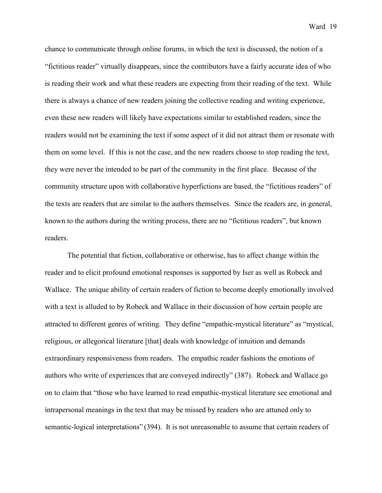chance to communicate through online forums, in which the text is discussed, the notion of a "fictitious reader" virtually disappears, since the contributors have a fairly accurate idea of who is reading their work and what these readers are expecting from their reading of the text. While there is always a chance of new readers joining the collective reading and writing experience, even these new readers will likely have expectations similar to established readers, since the readers would not be examining the text if some aspect of it did not attract them or resonate with them on some level. If this is not the case, and the new readers choose to stop reading the text, they were never the intended to be part of the community in the first place. Because of the community structure upon with collaborative hyperfictions are based, the "fictitious readers" of the texts are readers that are similar to the authors themselves. Since the readers are, in general, known to the authors during the writing process, there are no "fictitious readers", but known readers.

 The potential that fiction, collaborative or otherwise, has to affect change within the reader and to elicit profound emotional responses is supported by Iser as well as Robeck and Wallace. The unique ability of certain readers of fiction to become deeply emotionally involved with a text is alluded to by Robeck and Wallace in their discussion of how certain people are attracted to different genres of writing. They define "empathic-mystical literature" as "mystical, religious, or allegorical literature [that] deals with knowledge of intuition and demands extraordinary responsiveness from readers. The empathic reader fashions the emotions of authors who write of experiences that are conveyed indirectly" (387). Robeck and Wallace go on to claim that "those who have learned to read empathic-mystical literature see emotional and intrapersonal meanings in the text that may be missed by readers who are attuned only to semantic-logical interpretations" (394). It is not unreasonable to assume that certain readers of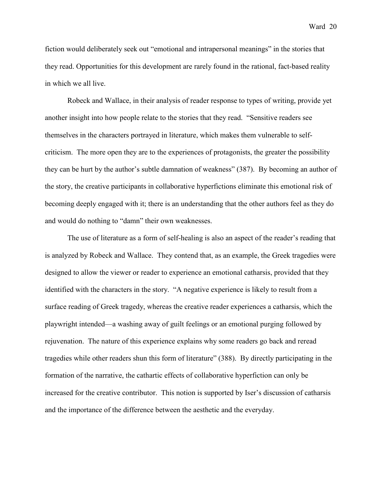fiction would deliberately seek out "emotional and intrapersonal meanings" in the stories that they read. Opportunities for this development are rarely found in the rational, fact-based reality in which we all live.

 Robeck and Wallace, in their analysis of reader response to types of writing, provide yet another insight into how people relate to the stories that they read. "Sensitive readers see themselves in the characters portrayed in literature, which makes them vulnerable to selfcriticism. The more open they are to the experiences of protagonists, the greater the possibility they can be hurt by the author's subtle damnation of weakness" (387). By becoming an author of the story, the creative participants in collaborative hyperfictions eliminate this emotional risk of becoming deeply engaged with it; there is an understanding that the other authors feel as they do and would do nothing to "damn" their own weaknesses.

 The use of literature as a form of self-healing is also an aspect of the reader's reading that is analyzed by Robeck and Wallace. They contend that, as an example, the Greek tragedies were designed to allow the viewer or reader to experience an emotional catharsis, provided that they identified with the characters in the story. "A negative experience is likely to result from a surface reading of Greek tragedy, whereas the creative reader experiences a catharsis, which the playwright intended—a washing away of guilt feelings or an emotional purging followed by rejuvenation. The nature of this experience explains why some readers go back and reread tragedies while other readers shun this form of literature" (388). By directly participating in the formation of the narrative, the cathartic effects of collaborative hyperfiction can only be increased for the creative contributor. This notion is supported by Iser's discussion of catharsis and the importance of the difference between the aesthetic and the everyday.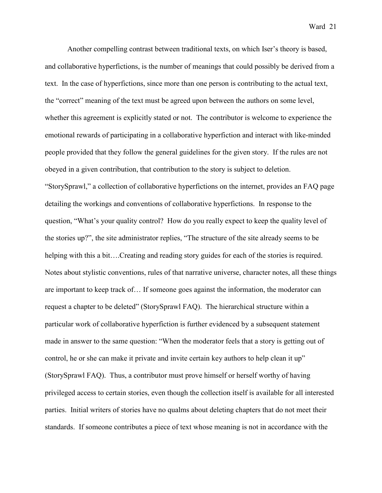Another compelling contrast between traditional texts, on which Iser's theory is based, and collaborative hyperfictions, is the number of meanings that could possibly be derived from a text. In the case of hyperfictions, since more than one person is contributing to the actual text, the "correct" meaning of the text must be agreed upon between the authors on some level, whether this agreement is explicitly stated or not. The contributor is welcome to experience the emotional rewards of participating in a collaborative hyperfiction and interact with like-minded people provided that they follow the general guidelines for the given story. If the rules are not obeyed in a given contribution, that contribution to the story is subject to deletion. "StorySprawl," a collection of collaborative hyperfictions on the internet, provides an FAQ page detailing the workings and conventions of collaborative hyperfictions. In response to the question, "What's your quality control? How do you really expect to keep the quality level of the stories up?", the site administrator replies, "The structure of the site already seems to be helping with this a bit….Creating and reading story guides for each of the stories is required. Notes about stylistic conventions, rules of that narrative universe, character notes, all these things are important to keep track of… If someone goes against the information, the moderator can request a chapter to be deleted" (StorySprawl FAQ). The hierarchical structure within a particular work of collaborative hyperfiction is further evidenced by a subsequent statement made in answer to the same question: "When the moderator feels that a story is getting out of control, he or she can make it private and invite certain key authors to help clean it up" (StorySprawl FAQ). Thus, a contributor must prove himself or herself worthy of having privileged access to certain stories, even though the collection itself is available for all interested parties. Initial writers of stories have no qualms about deleting chapters that do not meet their standards. If someone contributes a piece of text whose meaning is not in accordance with the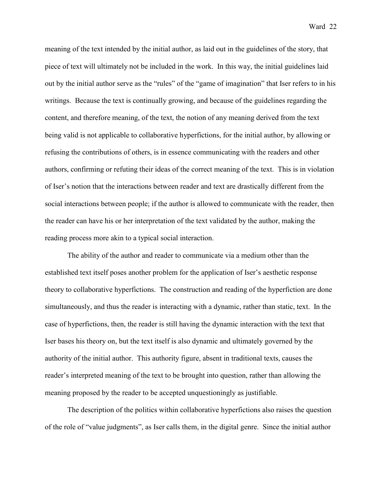meaning of the text intended by the initial author, as laid out in the guidelines of the story, that piece of text will ultimately not be included in the work. In this way, the initial guidelines laid out by the initial author serve as the "rules" of the "game of imagination" that Iser refers to in his writings. Because the text is continually growing, and because of the guidelines regarding the content, and therefore meaning, of the text, the notion of any meaning derived from the text being valid is not applicable to collaborative hyperfictions, for the initial author, by allowing or refusing the contributions of others, is in essence communicating with the readers and other authors, confirming or refuting their ideas of the correct meaning of the text. This is in violation of Iser's notion that the interactions between reader and text are drastically different from the social interactions between people; if the author is allowed to communicate with the reader, then the reader can have his or her interpretation of the text validated by the author, making the reading process more akin to a typical social interaction.

The ability of the author and reader to communicate via a medium other than the established text itself poses another problem for the application of Iser's aesthetic response theory to collaborative hyperfictions. The construction and reading of the hyperfiction are done simultaneously, and thus the reader is interacting with a dynamic, rather than static, text. In the case of hyperfictions, then, the reader is still having the dynamic interaction with the text that Iser bases his theory on, but the text itself is also dynamic and ultimately governed by the authority of the initial author. This authority figure, absent in traditional texts, causes the reader's interpreted meaning of the text to be brought into question, rather than allowing the meaning proposed by the reader to be accepted unquestioningly as justifiable.

 The description of the politics within collaborative hyperfictions also raises the question of the role of "value judgments", as Iser calls them, in the digital genre. Since the initial author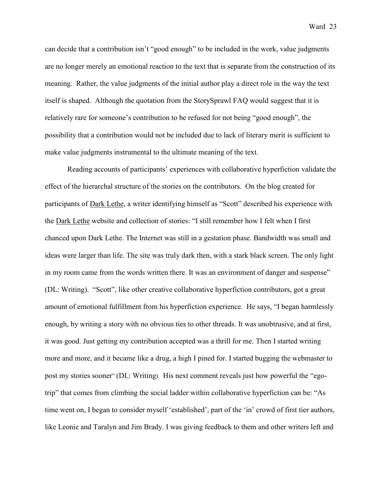can decide that a contribution isn't "good enough" to be included in the work, value judgments

are no longer merely an emotional reaction to the text that is separate from the construction of its meaning. Rather, the value judgments of the initial author play a direct role in the way the text itself is shaped. Although the quotation from the StorySprawl FAQ would suggest that it is relatively rare for someone's contribution to be refused for not being "good enough", the possibility that a contribution would not be included due to lack of literary merit is sufficient to make value judgments instrumental to the ultimate meaning of the text.

 Reading accounts of participants' experiences with collaborative hyperfiction validate the effect of the hierarchal structure of the stories on the contributors. On the blog created for participants of Dark Lethe, a writer identifying himself as "Scott" described his experience with the Dark Lethe website and collection of stories: "I still remember how I felt when I first chanced upon Dark Lethe. The Internet was still in a gestation phase. Bandwidth was small and ideas were larger than life. The site was truly dark then, with a stark black screen. The only light in my room came from the words written there. It was an environment of danger and suspense" (DL: Writing). "Scott", like other creative collaborative hyperfiction contributors, got a great amount of emotional fulfillment from his hyperfiction experience. He says, "I began harmlessly enough, by writing a story with no obvious ties to other threads. It was unobtrusive, and at first, it was good. Just getting my contribution accepted was a thrill for me. Then I started writing more and more, and it became like a drug, a high I pined for. I started bugging the webmaster to post my stories sooner" (DL: Writing). His next comment reveals just how powerful the "egotrip" that comes from climbing the social ladder within collaborative hyperfiction can be: "As time went on, I began to consider myself 'established', part of the 'in' crowd of first tier authors, like Leonie and Taralyn and Jim Brady. I was giving feedback to them and other writers left and

Ward 23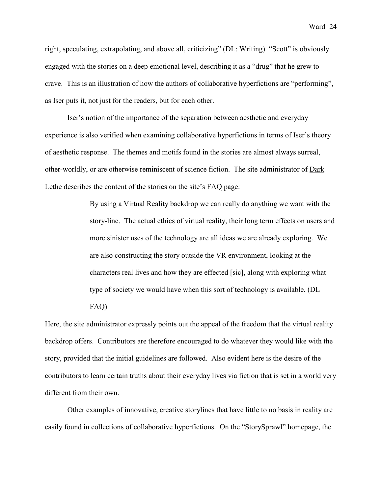right, speculating, extrapolating, and above all, criticizing" (DL: Writing) "Scott" is obviously engaged with the stories on a deep emotional level, describing it as a "drug" that he grew to crave. This is an illustration of how the authors of collaborative hyperfictions are "performing", as Iser puts it, not just for the readers, but for each other.

 Iser's notion of the importance of the separation between aesthetic and everyday experience is also verified when examining collaborative hyperfictions in terms of Iser's theory of aesthetic response. The themes and motifs found in the stories are almost always surreal, other-worldly, or are otherwise reminiscent of science fiction. The site administrator of Dark Lethe describes the content of the stories on the site's FAQ page:

> By using a Virtual Reality backdrop we can really do anything we want with the story-line. The actual ethics of virtual reality, their long term effects on users and more sinister uses of the technology are all ideas we are already exploring. We are also constructing the story outside the VR environment, looking at the characters real lives and how they are effected [sic], along with exploring what type of society we would have when this sort of technology is available. (DL

FAQ)

Here, the site administrator expressly points out the appeal of the freedom that the virtual reality backdrop offers. Contributors are therefore encouraged to do whatever they would like with the story, provided that the initial guidelines are followed. Also evident here is the desire of the contributors to learn certain truths about their everyday lives via fiction that is set in a world very different from their own.

 Other examples of innovative, creative storylines that have little to no basis in reality are easily found in collections of collaborative hyperfictions. On the "StorySprawl" homepage, the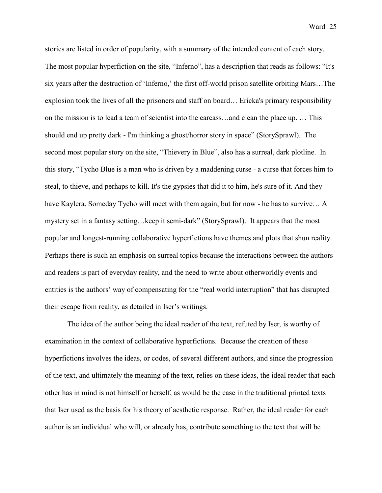stories are listed in order of popularity, with a summary of the intended content of each story. The most popular hyperfiction on the site, "Inferno", has a description that reads as follows: "It's six years after the destruction of 'Inferno,' the first off-world prison satellite orbiting Mars…The explosion took the lives of all the prisoners and staff on board… Ericka's primary responsibility on the mission is to lead a team of scientist into the carcass…and clean the place up. … This should end up pretty dark - I'm thinking a ghost/horror story in space" (StorySprawl). The second most popular story on the site, "Thievery in Blue", also has a surreal, dark plotline. In this story, "Tycho Blue is a man who is driven by a maddening curse - a curse that forces him to steal, to thieve, and perhaps to kill. It's the gypsies that did it to him, he's sure of it. And they have Kaylera. Someday Tycho will meet with them again, but for now - he has to survive… A mystery set in a fantasy setting…keep it semi-dark" (StorySprawl). It appears that the most popular and longest-running collaborative hyperfictions have themes and plots that shun reality. Perhaps there is such an emphasis on surreal topics because the interactions between the authors and readers is part of everyday reality, and the need to write about otherworldly events and entities is the authors' way of compensating for the "real world interruption" that has disrupted their escape from reality, as detailed in Iser's writings.

 The idea of the author being the ideal reader of the text, refuted by Iser, is worthy of examination in the context of collaborative hyperfictions. Because the creation of these hyperfictions involves the ideas, or codes, of several different authors, and since the progression of the text, and ultimately the meaning of the text, relies on these ideas, the ideal reader that each other has in mind is not himself or herself, as would be the case in the traditional printed texts that Iser used as the basis for his theory of aesthetic response. Rather, the ideal reader for each author is an individual who will, or already has, contribute something to the text that will be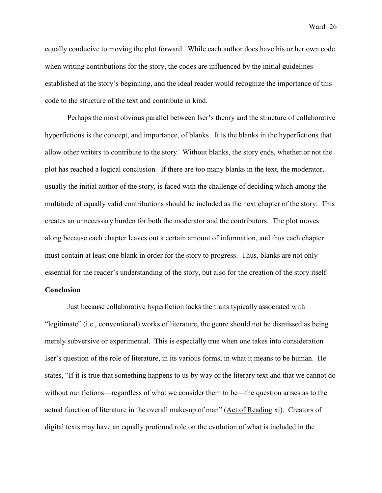equally conducive to moving the plot forward. While each author does have his or her own code when writing contributions for the story, the codes are influenced by the initial guidelines established at the story's beginning, and the ideal reader would recognize the importance of this code to the structure of the text and contribute in kind.

 Perhaps the most obvious parallel between Iser's theory and the structure of collaborative hyperfictions is the concept, and importance, of blanks. It is the blanks in the hyperfictions that allow other writers to contribute to the story. Without blanks, the story ends, whether or not the plot has reached a logical conclusion. If there are too many blanks in the text, the moderator, usually the initial author of the story, is faced with the challenge of deciding which among the multitude of equally valid contributions should be included as the next chapter of the story. This creates an unnecessary burden for both the moderator and the contributors. The plot moves along because each chapter leaves out a certain amount of information, and thus each chapter must contain at least one blank in order for the story to progress. Thus, blanks are not only essential for the reader's understanding of the story, but also for the creation of the story itself.

# **Conclusion**

 Just because collaborative hyperfiction lacks the traits typically associated with "legitimate" (i.e., conventional) works of literature, the genre should not be dismissed as being merely subversive or experimental. This is especially true when one takes into consideration Iser's question of the role of literature, in its various forms, in what it means to be human. He states, "If it is true that something happens to us by way or the literary text and that we cannot do without our fictions—regardless of what we consider them to be—the question arises as to the actual function of literature in the overall make-up of man" (Act of Reading xi). Creators of digital texts may have an equally profound role on the evolution of what is included in the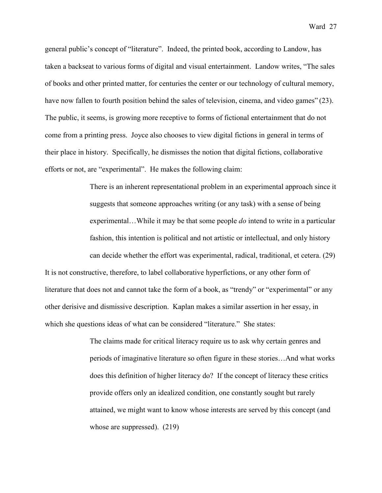general public's concept of "literature". Indeed, the printed book, according to Landow, has taken a backseat to various forms of digital and visual entertainment. Landow writes, "The sales of books and other printed matter, for centuries the center or our technology of cultural memory, have now fallen to fourth position behind the sales of television, cinema, and video games" (23). The public, it seems, is growing more receptive to forms of fictional entertainment that do not come from a printing press. Joyce also chooses to view digital fictions in general in terms of their place in history. Specifically, he dismisses the notion that digital fictions, collaborative efforts or not, are "experimental". He makes the following claim:

> There is an inherent representational problem in an experimental approach since it suggests that someone approaches writing (or any task) with a sense of being experimental…While it may be that some people *do* intend to write in a particular fashion, this intention is political and not artistic or intellectual, and only history can decide whether the effort was experimental, radical, traditional, et cetera. (29)

It is not constructive, therefore, to label collaborative hyperfictions, or any other form of literature that does not and cannot take the form of a book, as "trendy" or "experimental" or any other derisive and dismissive description. Kaplan makes a similar assertion in her essay, in which she questions ideas of what can be considered "literature." She states:

> The claims made for critical literacy require us to ask why certain genres and periods of imaginative literature so often figure in these stories…And what works does this definition of higher literacy do? If the concept of literacy these critics provide offers only an idealized condition, one constantly sought but rarely attained, we might want to know whose interests are served by this concept (and whose are suppressed). (219)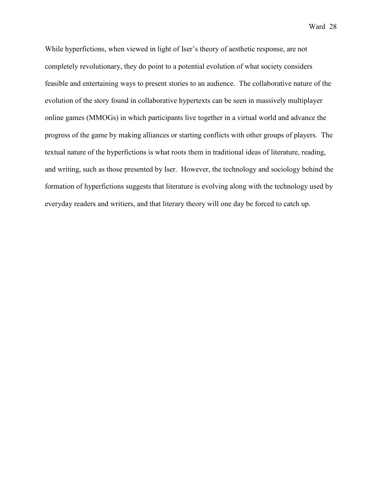While hyperfictions, when viewed in light of Iser's theory of aesthetic response, are not completely revolutionary, they do point to a potential evolution of what society considers feasible and entertaining ways to present stories to an audience. The collaborative nature of the evolution of the story found in collaborative hypertexts can be seen in massively multiplayer online games (MMOGs) in which participants live together in a virtual world and advance the progress of the game by making alliances or starting conflicts with other groups of players. The textual nature of the hyperfictions is what roots them in traditional ideas of literature, reading, and writing, such as those presented by Iser. However, the technology and sociology behind the formation of hyperfictions suggests that literature is evolving along with the technology used by everyday readers and writiers, and that literary theory will one day be forced to catch up.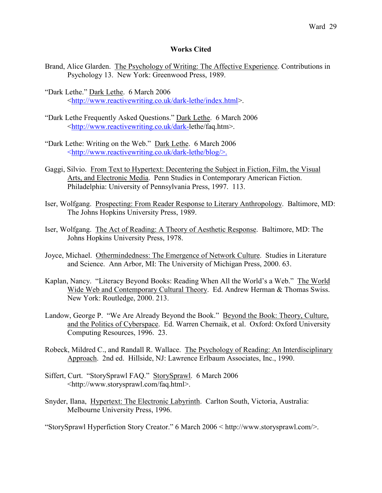# **Works Cited**

- Brand, Alice Glarden. The Psychology of Writing: The Affective Experience. Contributions in Psychology 13. New York: Greenwood Press, 1989.
- "Dark Lethe." Dark Lethe. 6 March 2006 <http://www.reactivewriting.co.uk/dark-lethe/index.html>.
- "Dark Lethe Frequently Asked Questions." Dark Lethe. 6 March 2006 <http://www.reactivewriting.co.uk/dark-lethe/faq.htm>.
- "Dark Lethe: Writing on the Web." Dark Lethe. 6 March 2006 <http://www.reactivewriting.co.uk/dark-lethe/blog/>.
- Gaggi, Silvio. From Text to Hypertext: Decentering the Subject in Fiction, Film, the Visual Arts, and Electronic Media. Penn Studies in Contemporary American Fiction. Philadelphia: University of Pennsylvania Press, 1997. 113.
- Iser, Wolfgang. Prospecting: From Reader Response to Literary Anthropology. Baltimore, MD: The Johns Hopkins University Press, 1989.
- Iser, Wolfgang. The Act of Reading: A Theory of Aesthetic Response. Baltimore, MD: The Johns Hopkins University Press, 1978.
- Joyce, Michael. Othermindedness: The Emergence of Network Culture. Studies in Literature and Science. Ann Arbor, MI: The University of Michigan Press, 2000. 63.
- Kaplan, Nancy. "Literacy Beyond Books: Reading When All the World's a Web." The World Wide Web and Contemporary Cultural Theory. Ed. Andrew Herman & Thomas Swiss. New York: Routledge, 2000. 213.
- Landow, George P. "We Are Already Beyond the Book." Beyond the Book: Theory, Culture, and the Politics of Cyberspace. Ed. Warren Chernaik, et al. Oxford: Oxford University Computing Resources, 1996. 23.
- Robeck, Mildred C., and Randall R. Wallace. The Psychology of Reading: An Interdisciplinary Approach. 2nd ed. Hillside, NJ: Lawrence Erlbaum Associates, Inc., 1990.
- Siffert, Curt. "StorySprawl FAQ." StorySprawl. 6 March 2006 <http://www.storysprawl.com/faq.html>.
- Snyder, Ilana, Hypertext: The Electronic Labyrinth. Carlton South, Victoria, Australia: Melbourne University Press, 1996.

"StorySprawl Hyperfiction Story Creator." 6 March 2006 < http://www.storysprawl.com/>.